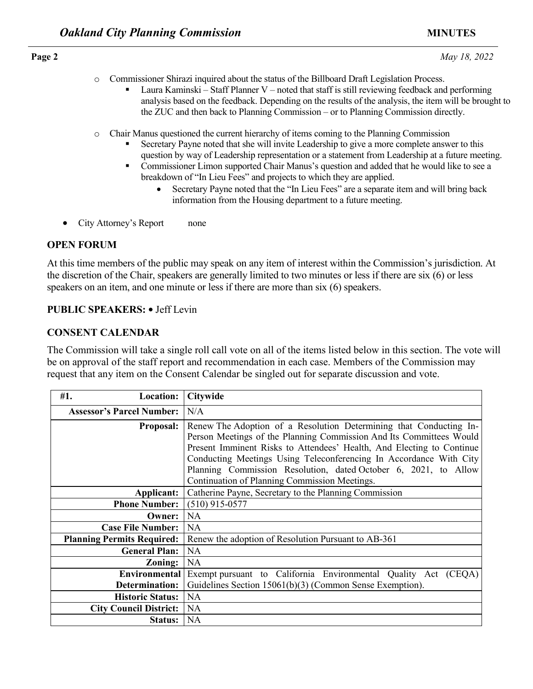- o Commissioner Shirazi inquired about the status of the Billboard Draft Legislation Process.
	- Laura Kaminski Staff Planner V noted that staff is still reviewing feedback and performing analysis based on the feedback. Depending on the results of the analysis, the item will be brought to the ZUC and then back to Planning Commission – or to Planning Commission directly.
- o Chair Manus questioned the current hierarchy of items coming to the Planning Commission
	- Secretary Payne noted that she will invite Leadership to give a more complete answer to this question by way of Leadership representation or a statement from Leadership at a future meeting.
	- **Commissioner Limon supported Chair Manus's question and added that he would like to see a** breakdown of "In Lieu Fees" and projects to which they are applied.
		- Secretary Payne noted that the "In Lieu Fees" are a separate item and will bring back information from the Housing department to a future meeting.
- City Attorney's Report none

## **OPEN FORUM**

## **PUBLIC SPEAKERS: •** Jeff Levin

# **CONSENT CALENDAR**

| $\circ$<br>٠                                         | Chair Manus questioned the current hierarchy of items coming to the Planning Commission<br>Secretary Payne noted that she will invite Leadership to give a more complete answer to this<br>question by way of Leadership representation or a statement from Leadership at a future mee<br>Commissioner Limon supported Chair Manus's question and added that he would like to see<br>breakdown of "In Lieu Fees" and projects to which they are applied.<br>Secretary Payne noted that the "In Lieu Fees" are a separate item and will bring back<br>information from the Housing department to a future meeting. |
|------------------------------------------------------|-------------------------------------------------------------------------------------------------------------------------------------------------------------------------------------------------------------------------------------------------------------------------------------------------------------------------------------------------------------------------------------------------------------------------------------------------------------------------------------------------------------------------------------------------------------------------------------------------------------------|
| City Attorney's Report                               | none                                                                                                                                                                                                                                                                                                                                                                                                                                                                                                                                                                                                              |
| <b>OPEN FORUM</b>                                    |                                                                                                                                                                                                                                                                                                                                                                                                                                                                                                                                                                                                                   |
|                                                      | At this time members of the public may speak on any item of interest within the Commission's jurisdiction.<br>the discretion of the Chair, speakers are generally limited to two minutes or less if there are six (6) or less<br>speakers on an item, and one minute or less if there are more than six (6) speakers.                                                                                                                                                                                                                                                                                             |
| <b>PUBLIC SPEAKERS: • Jeff Levin</b>                 |                                                                                                                                                                                                                                                                                                                                                                                                                                                                                                                                                                                                                   |
| <b>CONSENT CALENDAR</b>                              |                                                                                                                                                                                                                                                                                                                                                                                                                                                                                                                                                                                                                   |
|                                                      | The Commission will take a single roll call vote on all of the items listed below in this section. The vote v                                                                                                                                                                                                                                                                                                                                                                                                                                                                                                     |
|                                                      | be on approval of the staff report and recommendation in each case. Members of the Commission may<br>request that any item on the Consent Calendar be singled out for separate discussion and vote.                                                                                                                                                                                                                                                                                                                                                                                                               |
| <b>Location:</b><br>#1.                              | Citywide                                                                                                                                                                                                                                                                                                                                                                                                                                                                                                                                                                                                          |
| <b>Assessor's Parcel Number:</b><br><b>Proposal:</b> | N/A<br>Renew The Adoption of a Resolution Determining that Conducting In-<br>Person Meetings of the Planning Commission And Its Committees Would<br>Present Imminent Risks to Attendees' Health, And Electing to Continue<br>Conducting Meetings Using Teleconferencing In Accordance With City<br>Planning Commission Resolution, dated October 6, 2021, to Allow                                                                                                                                                                                                                                                |
| <b>Applicant:</b>                                    | Continuation of Planning Commission Meetings.<br>Catherine Payne, Secretary to the Planning Commission                                                                                                                                                                                                                                                                                                                                                                                                                                                                                                            |
| <b>Phone Number:</b>                                 | $(510)$ 915-0577                                                                                                                                                                                                                                                                                                                                                                                                                                                                                                                                                                                                  |
| <b>Owner:</b> NA                                     |                                                                                                                                                                                                                                                                                                                                                                                                                                                                                                                                                                                                                   |
| <b>Case File Number:</b>                             | <b>NA</b>                                                                                                                                                                                                                                                                                                                                                                                                                                                                                                                                                                                                         |
| <b>Planning Permits Required:</b>                    | Renew the adoption of Resolution Pursuant to AB-361                                                                                                                                                                                                                                                                                                                                                                                                                                                                                                                                                               |
| <b>General Plan:</b>                                 | <b>NA</b>                                                                                                                                                                                                                                                                                                                                                                                                                                                                                                                                                                                                         |
| Zoning:                                              | NA                                                                                                                                                                                                                                                                                                                                                                                                                                                                                                                                                                                                                |
| <b>Environmental</b>                                 | Exempt pursuant to California Environmental Quality Act (CEQA)                                                                                                                                                                                                                                                                                                                                                                                                                                                                                                                                                    |
| Determination:                                       | Guidelines Section 15061(b)(3) (Common Sense Exemption).                                                                                                                                                                                                                                                                                                                                                                                                                                                                                                                                                          |
| <b>Historic Status:</b>                              | <b>NA</b>                                                                                                                                                                                                                                                                                                                                                                                                                                                                                                                                                                                                         |
| <b>City Council District:</b><br>Status:             | <b>NA</b><br>NA                                                                                                                                                                                                                                                                                                                                                                                                                                                                                                                                                                                                   |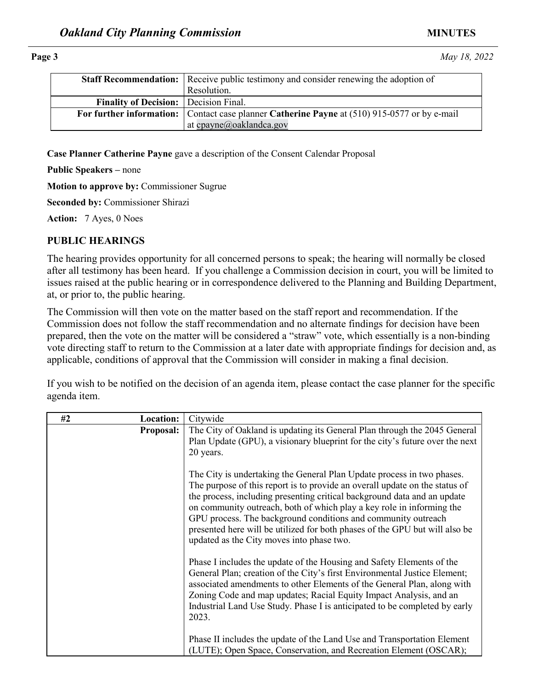|                                              | <b>Staff Recommendation:</b> Receive public testimony and consider renewing the adoption of  |
|----------------------------------------------|----------------------------------------------------------------------------------------------|
|                                              | Resolution.                                                                                  |
| <b>Finality of Decision:</b> Decision Final. |                                                                                              |
|                                              | For further information: Contact case planner Catherine Payne at (510) 915-0577 or by e-mail |
|                                              | at cpayne@oaklandca.gov                                                                      |

### **PUBLIC HEARINGS**

|                                           |                  | at <u>UpaynCa</u> QaNianuCa.gov                                                                                                                                                                                                                                                                                                                                                                                                                                                                                                                                                                                                                                                                                                                                                                                                                                                                                                                                                                                                                                                 |
|-------------------------------------------|------------------|---------------------------------------------------------------------------------------------------------------------------------------------------------------------------------------------------------------------------------------------------------------------------------------------------------------------------------------------------------------------------------------------------------------------------------------------------------------------------------------------------------------------------------------------------------------------------------------------------------------------------------------------------------------------------------------------------------------------------------------------------------------------------------------------------------------------------------------------------------------------------------------------------------------------------------------------------------------------------------------------------------------------------------------------------------------------------------|
|                                           |                  |                                                                                                                                                                                                                                                                                                                                                                                                                                                                                                                                                                                                                                                                                                                                                                                                                                                                                                                                                                                                                                                                                 |
|                                           |                  | Case Planner Catherine Payne gave a description of the Consent Calendar Proposal                                                                                                                                                                                                                                                                                                                                                                                                                                                                                                                                                                                                                                                                                                                                                                                                                                                                                                                                                                                                |
| <b>Public Speakers – none</b>             |                  |                                                                                                                                                                                                                                                                                                                                                                                                                                                                                                                                                                                                                                                                                                                                                                                                                                                                                                                                                                                                                                                                                 |
| Motion to approve by: Commissioner Sugrue |                  |                                                                                                                                                                                                                                                                                                                                                                                                                                                                                                                                                                                                                                                                                                                                                                                                                                                                                                                                                                                                                                                                                 |
| Seconded by: Commissioner Shirazi         |                  |                                                                                                                                                                                                                                                                                                                                                                                                                                                                                                                                                                                                                                                                                                                                                                                                                                                                                                                                                                                                                                                                                 |
| Action: 7 Ayes, 0 Noes                    |                  |                                                                                                                                                                                                                                                                                                                                                                                                                                                                                                                                                                                                                                                                                                                                                                                                                                                                                                                                                                                                                                                                                 |
| <b>PUBLIC HEARINGS</b>                    |                  |                                                                                                                                                                                                                                                                                                                                                                                                                                                                                                                                                                                                                                                                                                                                                                                                                                                                                                                                                                                                                                                                                 |
| at, or prior to, the public hearing.      |                  | The hearing provides opportunity for all concerned persons to speak; the hearing will normally be closed<br>after all testimony has been heard. If you challenge a Commission decision in court, you will be limited<br>issues raised at the public hearing or in correspondence delivered to the Planning and Building Departme                                                                                                                                                                                                                                                                                                                                                                                                                                                                                                                                                                                                                                                                                                                                                |
| agenda item.                              |                  | The Commission will then vote on the matter based on the staff report and recommendation. If the<br>Commission does not follow the staff recommendation and no alternate findings for decision have been<br>prepared, then the vote on the matter will be considered a "straw" vote, which essentially is a non-binding<br>vote directing staff to return to the Commission at a later date with appropriate findings for decision and,<br>applicable, conditions of approval that the Commission will consider in making a final decision.<br>If you wish to be notified on the decision of an agenda item, please contact the case planner for the specificant                                                                                                                                                                                                                                                                                                                                                                                                                |
| #2                                        | <b>Location:</b> | Citywide                                                                                                                                                                                                                                                                                                                                                                                                                                                                                                                                                                                                                                                                                                                                                                                                                                                                                                                                                                                                                                                                        |
|                                           | <b>Proposal:</b> | The City of Oakland is updating its General Plan through the 2045 General<br>Plan Update (GPU), a visionary blueprint for the city's future over the next<br>20 years.<br>The City is undertaking the General Plan Update process in two phases.<br>The purpose of this report is to provide an overall update on the status of<br>the process, including presenting critical background data and an update<br>on community outreach, both of which play a key role in informing the<br>GPU process. The background conditions and community outreach<br>presented here will be utilized for both phases of the GPU but will also be<br>updated as the City moves into phase two.<br>Phase I includes the update of the Housing and Safety Elements of the<br>General Plan; creation of the City's first Environmental Justice Element;<br>associated amendments to other Elements of the General Plan, along with<br>Zoning Code and map updates; Racial Equity Impact Analysis, and an<br>Industrial Land Use Study. Phase I is anticipated to be completed by early<br>2023. |
|                                           |                  | Phase II includes the update of the Land Use and Transportation Element<br>(LUTE); Open Space, Conservation, and Recreation Element (OSCAR);                                                                                                                                                                                                                                                                                                                                                                                                                                                                                                                                                                                                                                                                                                                                                                                                                                                                                                                                    |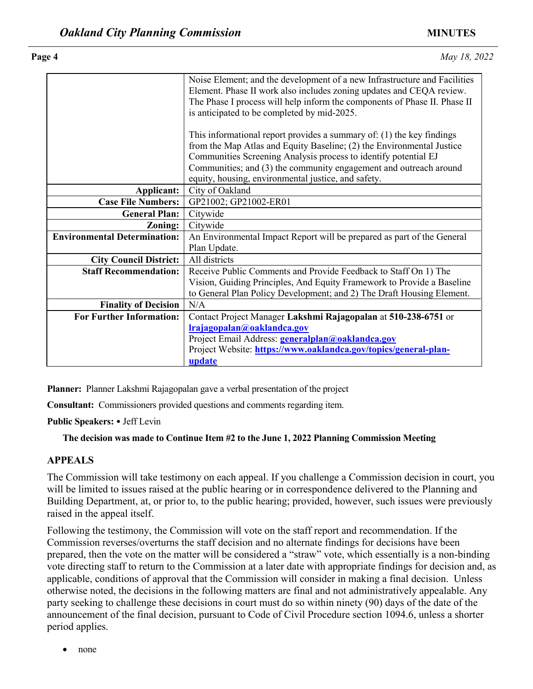|                                      | Noise Element; and the development of a new Infrastructure and Facilities<br>Element. Phase II work also includes zoning updates and CEQA review.<br>The Phase I process will help inform the components of Phase II. Phase II                                                                                                                                                                                                       |
|--------------------------------------|--------------------------------------------------------------------------------------------------------------------------------------------------------------------------------------------------------------------------------------------------------------------------------------------------------------------------------------------------------------------------------------------------------------------------------------|
|                                      | is anticipated to be completed by mid-2025.                                                                                                                                                                                                                                                                                                                                                                                          |
|                                      | This informational report provides a summary of: $(1)$ the key findings                                                                                                                                                                                                                                                                                                                                                              |
|                                      | from the Map Atlas and Equity Baseline; (2) the Environmental Justice<br>Communities Screening Analysis process to identify potential EJ                                                                                                                                                                                                                                                                                             |
|                                      | Communities; and (3) the community engagement and outreach around                                                                                                                                                                                                                                                                                                                                                                    |
|                                      | equity, housing, environmental justice, and safety.                                                                                                                                                                                                                                                                                                                                                                                  |
| Applicant:                           | City of Oakland                                                                                                                                                                                                                                                                                                                                                                                                                      |
| <b>Case File Numbers:</b>            | GP21002; GP21002-ER01                                                                                                                                                                                                                                                                                                                                                                                                                |
| <b>General Plan:</b>                 | Citywide                                                                                                                                                                                                                                                                                                                                                                                                                             |
| Zoning:                              | Citywide                                                                                                                                                                                                                                                                                                                                                                                                                             |
| <b>Environmental Determination:</b>  | An Environmental Impact Report will be prepared as part of the General<br>Plan Update.                                                                                                                                                                                                                                                                                                                                               |
| <b>City Council District:</b>        | All districts                                                                                                                                                                                                                                                                                                                                                                                                                        |
| <b>Staff Recommendation:</b>         | Receive Public Comments and Provide Feedback to Staff On 1) The                                                                                                                                                                                                                                                                                                                                                                      |
|                                      | Vision, Guiding Principles, And Equity Framework to Provide a Baseline                                                                                                                                                                                                                                                                                                                                                               |
|                                      | to General Plan Policy Development; and 2) The Draft Housing Element.                                                                                                                                                                                                                                                                                                                                                                |
| <b>Finality of Decision</b>          | N/A                                                                                                                                                                                                                                                                                                                                                                                                                                  |
| <b>For Further Information:</b>      | Contact Project Manager Lakshmi Rajagopalan at 510-238-6751 or<br>Irajagopalan@oaklandca.gov                                                                                                                                                                                                                                                                                                                                         |
|                                      | Project Email Address: generalplan@oaklandca.gov                                                                                                                                                                                                                                                                                                                                                                                     |
|                                      | Project Website: https://www.oaklandca.gov/topics/general-plan-                                                                                                                                                                                                                                                                                                                                                                      |
|                                      | update                                                                                                                                                                                                                                                                                                                                                                                                                               |
|                                      |                                                                                                                                                                                                                                                                                                                                                                                                                                      |
|                                      | Planner: Planner Lakshmi Rajagopalan gave a verbal presentation of the project                                                                                                                                                                                                                                                                                                                                                       |
|                                      |                                                                                                                                                                                                                                                                                                                                                                                                                                      |
|                                      | <b>Consultant:</b> Commissioners provided questions and comments regarding item.                                                                                                                                                                                                                                                                                                                                                     |
| <b>Public Speakers:</b> • Jeff Levin |                                                                                                                                                                                                                                                                                                                                                                                                                                      |
|                                      | The decision was made to Continue Item #2 to the June 1, 2022 Planning Commission Meeting                                                                                                                                                                                                                                                                                                                                            |
| <b>APPEALS</b>                       |                                                                                                                                                                                                                                                                                                                                                                                                                                      |
| raised in the appeal itself.         | The Commission will take testimony on each appeal. If you challenge a Commission decision in court, you<br>will be limited to issues raised at the public hearing or in correspondence delivered to the Planning and<br>Building Department, at, or prior to, to the public hearing; provided, however, such issues were previously                                                                                                  |
|                                      | Following the testimony, the Commission will vote on the staff report and recommendation. If the<br>Commission reverses/overturns the staff decision and no alternate findings for decisions have been<br>prepared, then the vote on the matter will be considered a "straw" vote, which essentially is a non-binding<br>vote directing stoff to return to the Commission at a later date with enpropriate findings for decision and |

## **APPEALS**

Following the testimony, the Commission will vote on the staff report and recommendation. If the Commission reverses/overturns the staff decision and no alternate findings for decisions have been prepared, then the vote on the matter will be considered a "straw" vote, which essentially is a non-binding vote directing staff to return to the Commission at a later date with appropriate findings for decision and, as applicable, conditions of approval that the Commission will consider in making a final decision. Unless otherwise noted, the decisions in the following matters are final and not administratively appealable. Any party seeking to challenge these decisions in court must do so within ninety (90) days of the date of the announcement of the final decision, pursuant to Code of Civil Procedure section 1094.6, unless a shorter period applies.

• none